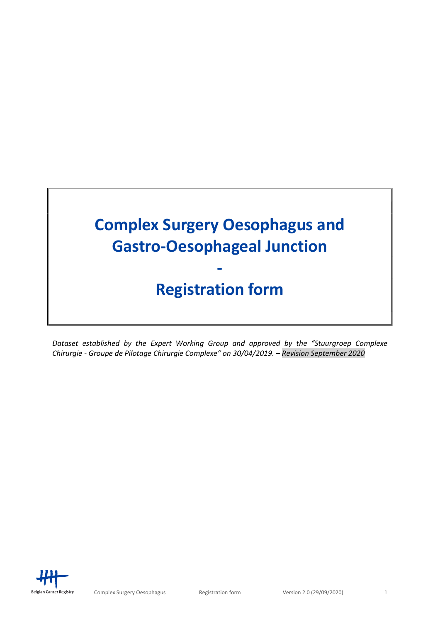

# Registration form

Dataset established by the Expert Working Group and approved by the "Stuurgroep Complexe Chirurgie - Groupe de Pilotage Chirurgie Complexe" on 30/04/2019. – Revision September 2020

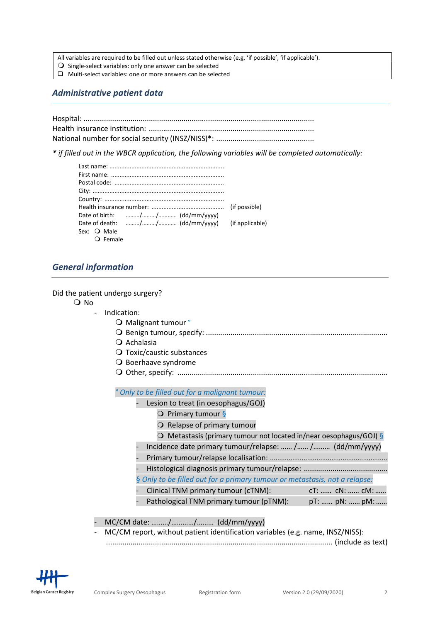All variables are required to be filled out unless stated otherwise (e.g. 'if possible', 'if applicable').

- $\overline{O}$  Single-select variables: only one answer can be selected
- $\Box$  Multi-select variables: one or more answers can be selected

## Administrative patient data

\* if filled out in the WBCR application, the following variables will be completed automatically:

| Sex: <b>O</b> Male |  |
|--------------------|--|
| <b>Q</b> Female    |  |

## General information

Did the patient undergo surgery?

O No

- Indication:
	- O Malignant tumour °
	- Benign tumour, specify: .........................................................................................
	- $Q$  Achalasia
	- O Toxic/caustic substances
	- O Boerhaave syndrome
	- Other, specify: .......................................................................................................

° Only to be filled out for a malignant tumour:

- Lesion to treat (in oesophagus/GOJ)
	- $\overline{Q}$  Primary tumour §
	- O Relapse of primary tumour
	- O Metastasis (primary tumour not located in/near oesophagus/GOJ)  $\S$
- Incidence date primary tumour/relapse: …… /…… /……… (dd/mm/yyyy)
- Primary tumour/relapse localisation: ...............................................................
- Histological diagnosis primary tumour/relapse: .........................................
- § Only to be filled out for a primary tumour or metastasis, not a relapse:
- Clinical TNM primary tumour (cTNM): cT: …… cN: …… cM:……
- Pathological TNM primary tumour (pTNM): pT: ...... pN: ...... pM: ......

#### - MC/CM date: ………/…………/……… (dd/mm/yyyy)

- MC/CM report, without patient identification variables (e.g. name, INSZ/NISS): ............................................................................................................... (include as text)

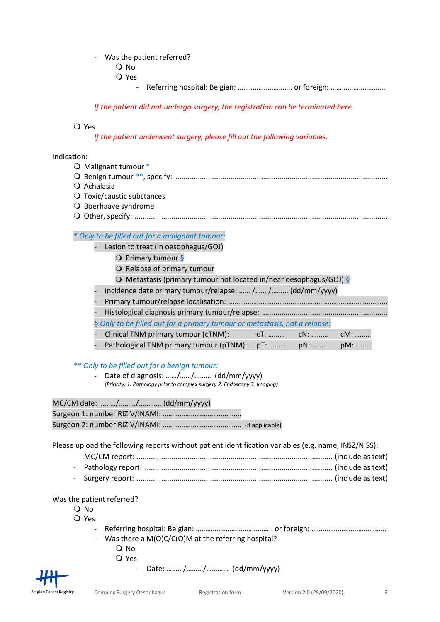#### Was the patient referred?

- O No
- Yes
	- Referring hospital: Belgian: …………………………… or foreign: ……………………………

If the patient did not undergo surgery, the registration can be terminated here.

## Yes

If the patient underwent surgery, please fill out the following variables.

#### Indication:

- O Malignant tumour \* Benign tumour \*\*, specify: ........................................................................................................
- $\Omega$  Achalasia
- O Toxic/caustic substances
- O Boerhaave syndrome
- Other, specify: ............................................................................................................................

## \* Only to be filled out for a malignant tumour:

- Lesion to treat (in oesophagus/GOJ)
	- O Primary tumour §
	- O Relapse of primary tumour
	- $\overline{O}$  Metastasis (primary tumour not located in/near oesophagus/GOJ) §
- Incidence date primary tumour/relapse: …… /…… /……… (dd/mm/yyyy)
- Primary tumour/relapse localisation: .....................................................................................
- Histological diagnosis primary tumour/relapse: .............................................................
- § Only to be filled out for a primary tumour or metastasis, not a relapse:
- Clinical TNM primary tumour (cTNM): cT: .......... cN: .......... cM: .........
- Pathological TNM primary tumour (pTNM): pT: ……… pN: ……… pM: ………

#### \*\* Only to be filled out for a benign tumour:

Date of diagnosis: ....../....../......... (dd/mm/yyyy) (Priority: 1. Pathology prior to complex surgery 2. Endoscopy 3. Imaging)

| MC/CM date: // (dd/mm/yyyy) |  |
|-----------------------------|--|
|-----------------------------|--|

|--|--|

Surgeon 2: number RIZIV/INAMI: …………………………………… (if applicable)

Please upload the following reports without patient identification variables (e.g. name, INSZ/NISS):

- MC/CM report: ................................................................................................ (include as text) - Pathology report: ............................................................................................ (include as text)
- Surgery report: ................................................................................................ (include as text)

#### Was the patient referred?

- $\Omega$  No
- O Yes
	- Referring hospital: Belgian: ………………………………………… or foreign: …………………………………………………………
	- Was there a  $M(O)C/C(O)M$  at the referring hospital?
		- O No
		- Yes
			- Date: ………/………/………… (dd/mm/yyyy)

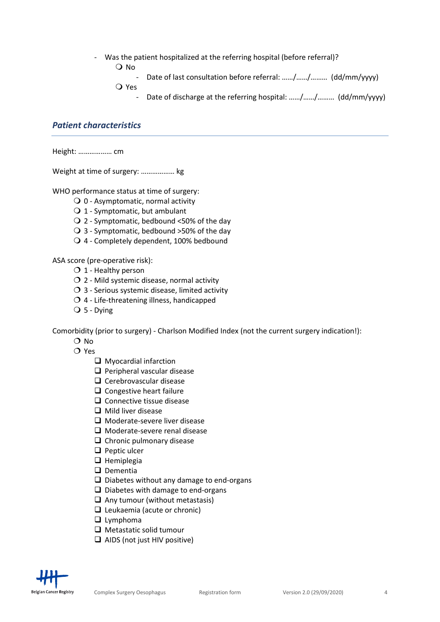Was the patient hospitalized at the referring hospital (before referral)?

O No

- Date of last consultation before referral: ……/……/……… (dd/mm/yyyy)

Yes

- Date of discharge at the referring hospital: ……/……/……… (dd/mm/yyyy)

# Patient characteristics

Height: ……………… cm

Weight at time of surgery: ……………… kg

WHO performance status at time of surgery:

- $\bigcirc$  0 Asymptomatic, normal activity
- 1 Symptomatic, but ambulant
- $\bigcirc$  2 Symptomatic, bedbound <50% of the day
- $\bigcirc$  3 Symptomatic, bedbound >50% of the day
- 4 Completely dependent, 100% bedbound

ASA score (pre-operative risk):

- $O$  1 Healthy person
- $O$  2 Mild systemic disease, normal activity
- $\overline{O}$  3 Serious systemic disease, limited activity
- $O$  4 Life-threatening illness, handicapped
- $\bigcirc$  5 Dying

Comorbidity (prior to surgery) - Charlson Modified Index (not the current surgery indication!):

- $\Omega$  No
- $O$  Yes
	- $\Box$  Myocardial infarction
	- $\Box$  Peripheral vascular disease
	- $\Box$  Cerebrovascular disease
	- $\Box$  Congestive heart failure
	- $\Box$  Connective tissue disease
	- $\Box$  Mild liver disease
	- $\Box$  Moderate-severe liver disease
	- $\Box$  Moderate-severe renal disease
	- $\Box$  Chronic pulmonary disease
	- $\Box$  Peptic ulcer
	- $\Box$  Hemiplegia
	- $\Box$  Dementia
	- $\Box$  Diabetes without any damage to end-organs
	- $\Box$  Diabetes with damage to end-organs
	- $\Box$  Any tumour (without metastasis)
	- $\Box$  Leukaemia (acute or chronic)
	- $\Box$  Lymphoma
	- $\Box$  Metastatic solid tumour
	- $\Box$  AIDS (not just HIV positive)

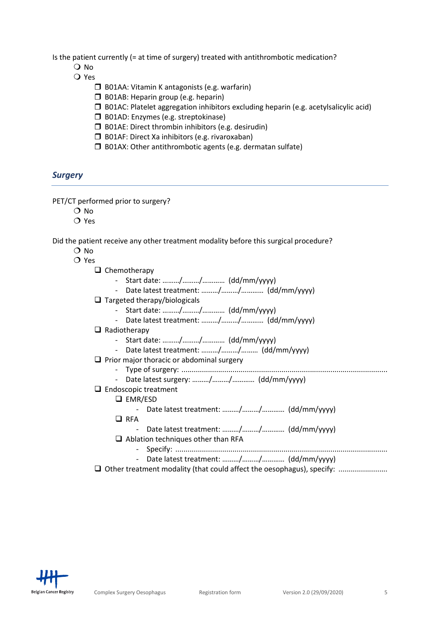Is the patient currently (= at time of surgery) treated with antithrombotic medication?

- O No
- Yes
	- $\Box$  B01AA: Vitamin K antagonists (e.g. warfarin)
	- $\Box$  B01AB: Heparin group (e.g. heparin)
	- $\square$  B01AC: Platelet aggregation inhibitors excluding heparin (e.g. acetylsalicylic acid)
	- **D** B01AD: Enzymes (e.g. streptokinase)
	- $\Box$  B01AE: Direct thrombin inhibitors (e.g. desirudin)
	- $\Box$  B01AF: Direct Xa inhibitors (e.g. rivaroxaban)
	- $\square$  B01AX: Other antithrombotic agents (e.g. dermatan sulfate)

## **Surgery**

PET/CT performed prior to surgery?

- O No
- O Yes

Did the patient receive any other treatment modality before this surgical procedure?

 $\Omega$  No

#### O Yes

- Start date: ………/………/………… (dd/mm/yyyy)
- Date latest treatment: ………/………/………… (dd/mm/yyyy)
- $\Box$  Targeted therapy/biologicals
	- Start date: ………/………/………… (dd/mm/yyyy)
	- Date latest treatment: ………/………/………… (dd/mm/yyyy)

#### $\Box$  Radiotherapy

- Start date: ………/………/………… (dd/mm/yyyy)
- Date latest treatment: ………/………/……… (dd/mm/yyyy)
- $\Box$  Prior major thoracic or abdominal surgery
	- Type of surgery: .....................................................................................................
		- Date latest surgery: ………/………/………… (dd/mm/yyyy)

## $\Box$  Endoscopic treatment

- □ EMR/ESD
	- Date latest treatment: ………/………/………… (dd/mm/yyyy)
- $\Box$  RFA
	- Date latest treatment: ………/………/………… (dd/mm/yyyy)
- $\Box$  Ablation techniques other than RFA
	- Specify: ........................................................................................................
	- Date latest treatment: ………/………/………… (dd/mm/yyyy)
- Other treatment modality (that could affect the oesophagus), specify: ........................

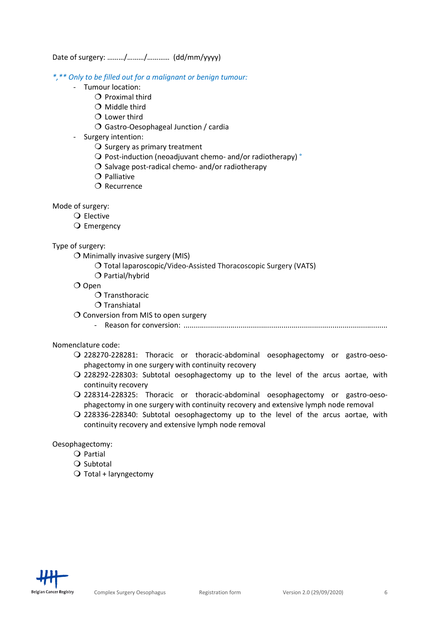Date of surgery: ………/………/………… (dd/mm/yyyy)

\*,\*\* Only to be filled out for a malignant or benign tumour:

- Tumour location:
	- $\overline{O}$  Proximal third
	- $O$  Middle third
	- $O$  Lower third
	- Gastro-Oesophageal Junction / cardia
- Surgery intention:
	- $\bigcirc$  Surgery as primary treatment
	- O Post-induction (neoadjuvant chemo- and/or radiotherapy) °
	- $\overline{O}$  Salvage post-radical chemo- and/or radiotherapy
	- $O$  Palliative
	- $\Omega$  Recurrence

## Mode of surgery:

- Q Elective
	- Q Emergency

## Type of surgery:

- $\bigcirc$  Minimally invasive surgery (MIS)
	- O Total laparoscopic/Video-Assisted Thoracoscopic Surgery (VATS)
	- $O$  Partial/hybrid
- $O$  Open
	- $O$  Transthoracic
	- $O$  Transhiatal
- O Conversion from MIS to open surgery
	- Reason for conversion: ....................................................................................................

Nomenclature code:

- 228270-228281: Thoracic or thoracic-abdominal oesophagectomy or gastro-oesophagectomy in one surgery with continuity recovery
- 228292-228303: Subtotal oesophagectomy up to the level of the arcus aortae, with continuity recovery
- 228314-228325: Thoracic or thoracic-abdominal oesophagectomy or gastro-oesophagectomy in one surgery with continuity recovery and extensive lymph node removal
- 228336-228340: Subtotal oesophagectomy up to the level of the arcus aortae, with continuity recovery and extensive lymph node removal

Oesophagectomy:

- $Q$  Partial
- $Q$  Subtotal
- $\bigcirc$  Total + laryngectomy

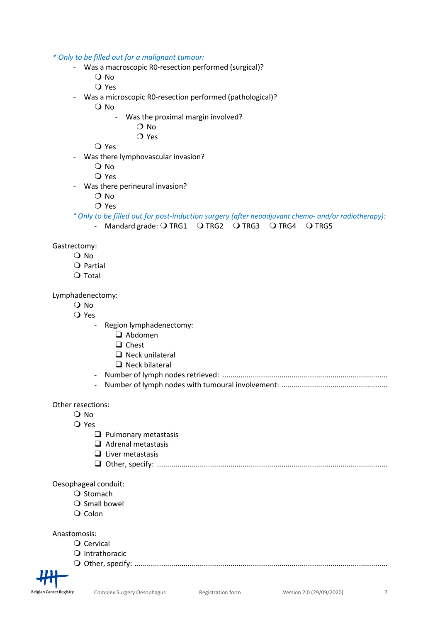\* Only to be filled out for a malignant tumour:

- Was a macroscopic R0-resection performed (surgical)?
	- O No
	- Yes
- Was a microscopic R0-resection performed (pathological)?
	- O No
		- Was the proximal margin involved?
			- $\Omega$  No
				- O Yes

Yes

- Was there lymphovascular invasion?
	- O No
	- Yes
- Was there perineural invasion?
	- O No
	- $OYes$

° Only to be filled out for post-induction surgery (after neoadjuvant chemo- and/or radiotherapy):

- Mandard grade:  $O$  TRG1  $O$  TRG2  $O$  TRG3  $O$  TRG4  $O$  TRG5

Gastrectomy:

- O No
- $Q$  Partial
- $Q$  Total

Lymphadenectomy:

- O No
- Yes
	- Region lymphadenectomy:
		- Abdomen
		- $\Box$  Chest
		- $\Box$  Neck unilateral
		- $\Box$  Neck bilateral
	- Number of lymph nodes retrieved: .................................................................................
	- Number of lymph nodes with tumoural involvement: ....................................................

Other resections:

- Q No
- Yes
	- $\Box$  Pulmonary metastasis
	- $\Box$  Adrenal metastasis
	- $\Box$  Liver metastasis
	- Other, specify: .................................................................................................................

Oesophageal conduit:

- $\Omega$  Stomach
- $\bigcirc$  Small bowel
- Q Colon

Anastomosis:

- Q Cervical
- Q Intrathoracic

Other, specify: ............................................................................................................................

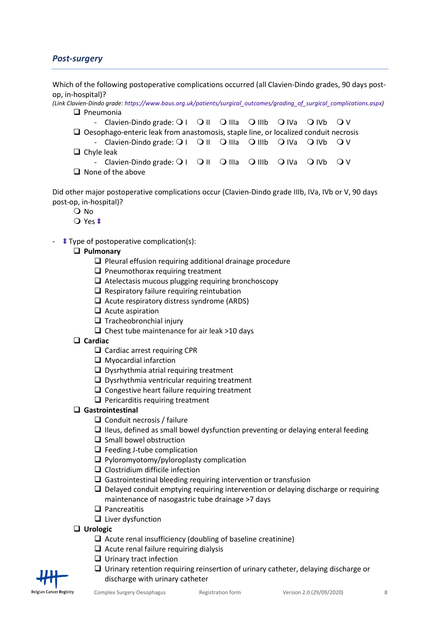# Post-surgery

Which of the following postoperative complications occurred (all Clavien-Dindo grades, 90 days postop, in-hospital)?

- (Link Clavien-Dindo grade: https://www.baus.org.uk/patients/surgical\_outcomes/grading\_of\_surgical\_complications.aspx)  $\Box$  Pneumonia
	- Clavien-Dindo grade:  $Q \perp Q \parallel Q \parallel a \parallel Q \parallel b \parallel Q \parallel b \parallel Q \parallel b \parallel Q \parallel b \parallel Q \parallel b \parallel Q \parallel b \parallel Q \parallel b \parallel Q \parallel b \parallel Q \parallel b \parallel Q \parallel b \parallel Q \parallel b \parallel Q \parallel b \parallel Q \parallel b \parallel Q \parallel b \parallel Q \parallel b \parallel Q \parallel b \parallel Q \parallel b \parallel Q \parallel b \parallel Q \parallel b \parallel Q \parallel b \parallel Q \parallel b \parallel Q \parallel b \parallel Q \parallel b \parallel Q \parallel b \parallel Q \parallel b \parallel Q \parallel b \parallel Q \parallel b \parallel Q \parallel b \parallel Q \parallel b \parallel Q \parallel b \parallel Q \parallel b$  $\Box$  Oesophago-enteric leak from anastomosis, staple line, or localized conduit necrosis - Clavien-Dindo grade:  $Q \perp Q \parallel Q \parallel a \parallel Q \parallel b \parallel Q \parallel b \parallel Q \parallel b \parallel Q \parallel b \parallel Q \parallel b \parallel Q \parallel b \parallel Q \parallel b \parallel Q \parallel b \parallel Q \parallel b \parallel Q \parallel b \parallel Q \parallel b \parallel b \parallel Q \parallel b \parallel b \parallel Q \parallel b \parallel b \parallel Q \parallel b \parallel b \parallel Q \parallel b \parallel b \parallel Q \parallel b \parallel b \parallel Q \parallel b \parallel b \parallel Q \parallel b \parallel b \parallel Q \parallel b \parallel b \parallel b \parallel Q \parallel b \parallel b \parallel b \parallel Q \parallel b \parallel b \parallel b \parallel b \parallel b \parallel b \parallel b \parallel b \parallel b$
	- $\Box$  Chyle leak
		- Clavien-Dindo grade:  $Q \perp Q \parallel Q \parallel a \perp Q \parallel b \perp Q \parallel b \perp Q \parallel b \perp Q \parallel b \perp Q \parallel$
	- $\Box$  None of the above

Did other major postoperative complications occur (Clavien-Dindo grade IIIb, IVa, IVb or V, 90 days post-op, in-hospital)?

- O No
- Yes ‡
- ‡ Type of postoperative complication(s):

## □ Pulmonary

- $\square$  Pleural effusion requiring additional drainage procedure
- $\Box$  Pneumothorax requiring treatment
- $\Box$  Atelectasis mucous plugging requiring bronchoscopy
- $\Box$  Respiratory failure requiring reintubation
- $\Box$  Acute respiratory distress syndrome (ARDS)
- $\Box$  Acute aspiration
- $\Box$  Tracheobronchial injury
- $\Box$  Chest tube maintenance for air leak >10 days
- $\Box$  Cardiac
	- $\Box$  Cardiac arrest requiring CPR
	- $\Box$  Myocardial infarction
	- $\Box$  Dysrhythmia atrial requiring treatment
	- $\Box$  Dysrhythmia ventricular requiring treatment
	- $\Box$  Congestive heart failure requiring treatment
	- $\Box$  Pericarditis requiring treatment

#### Gastrointestinal

- $\Box$  Conduit necrosis / failure
- $\Box$  Ileus, defined as small bowel dysfunction preventing or delaying enteral feeding
- $\square$  Small bowel obstruction
- $\Box$  Feeding J-tube complication
- $\Box$  Pyloromyotomy/pyloroplasty complication
- $\Box$  Clostridium difficile infection
- $\Box$  Gastrointestinal bleeding requiring intervention or transfusion
- $\Box$  Delayed conduit emptying requiring intervention or delaying discharge or requiring maintenance of nasogastric tube drainage >7 days
- $\Box$  Pancreatitis
- $\Box$  Liver dysfunction
- □ Urologic
	- $\Box$  Acute renal insufficiency (doubling of baseline creatinine)
	- $\Box$  Acute renal failure requiring dialysis
	- $\Box$  Urinary tract infection
	- $\Box$  Urinary retention requiring reinsertion of urinary catheter, delaying discharge or discharge with urinary catheter

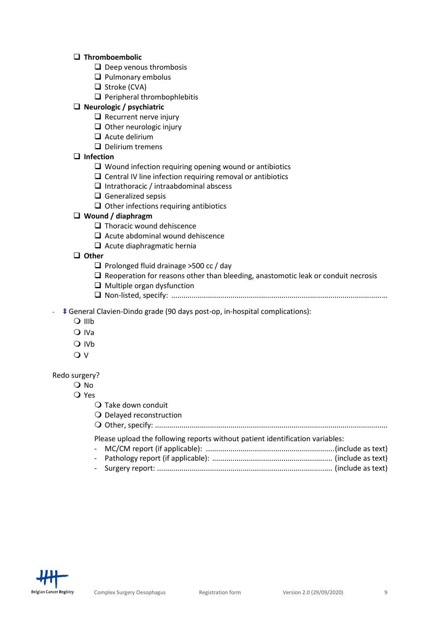## $\Box$  Thromboembolic

- $\Box$  Deep venous thrombosis
- $\Box$  Pulmonary embolus
- $\Box$  Stroke (CVA)
- $\Box$  Peripheral thrombophlebitis

## $\Box$  Neurologic / psychiatric

- $\Box$  Recurrent nerve injury
- $\Box$  Other neurologic injury
- $\Box$  Acute delirium
- $\Box$  Delirium tremens

## $\Box$  Infection

- $\Box$  Wound infection requiring opening wound or antibiotics
- $\square$  Central IV line infection requiring removal or antibiotics
- $\Box$  Intrathoracic / intraabdominal abscess
- $\Box$  Generalized sepsis
- $\Box$  Other infections requiring antibiotics

## Wound / diaphragm

- $\Box$  Thoracic wound dehiscence
- $\Box$  Acute abdominal wound dehiscence
- $\Box$  Acute diaphragmatic hernia

## $\Box$  Other

- $\Box$  Prolonged fluid drainage >500 cc / day
- $\Box$  Reoperation for reasons other than bleeding, anastomotic leak or conduit necrosis
- $\Box$  Multiple organ dysfunction
- Non-listed, specify: ....................................................................................................... …

#### - ‡ General Clavien-Dindo grade (90 days post-op, in-hospital complications):

- $\Omega$  IIIb
- Q IVa
- O IVb
- $\overline{Q}$  V

#### Redo surgery?

- $\overline{O}$  No
	- Yes
		- $\bigcirc$  Take down conduit
		- O Delayed reconstruction

Other, specify: ..................................................................................................................

Please upload the following reports without patient identification variables:

- MC/CM report (if applicable): ............................................................... (include as text) - Pathology report (if applicable): ........................................................... (include as text)
- Surgery report: ...................................................................................... (include as text)

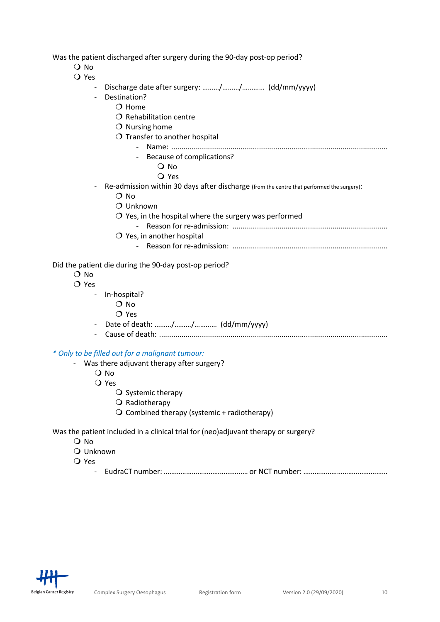Was the patient discharged after surgery during the 90-day post-op period?

- O No
- Yes
	- Discharge date after surgery: ........./........./............. (dd/mm/yyyy)
	- Destination?
		- $O$  Home
		- $O$  Rehabilitation centre
		- $O$  Nursing home
		- $O$  Transfer to another hospital
			- Name: ..........................................................................................................
				- Because of complications?
					- O No
					- Yes
	- Re-admission within 30 days after discharge (from the centre that performed the surgery):
		- O No
		- O Unknown
		- $\overline{O}$  Yes, in the hospital where the surgery was performed
			- Reason for re-admission: ............................................................................
		- $O$  Yes, in another hospital
			- Reason for re-admission: ............................................................................

Did the patient die during the 90-day post-op period?

- O No
- O Yes
	- In-hospital?
		- O No
			- O Yes
	- Date of death: ………/………/………… (dd/mm/yyyy)
	- Cause of death: ................................................................................................................

\* Only to be filled out for a malignant tumour:

- Was there adjuvant therapy after surgery?
	- O No
	- Yes
		- $\bigcirc$  Systemic therapy
		- $\bigcirc$  Radiotherapy
		- $\bigcirc$  Combined therapy (systemic + radiotherapy)

Was the patient included in a clinical trial for (neo)adjuvant therapy or surgery?

- O No
- Unknown
- Yes
	- EudraCT number: ……………………………………… or NCT number: ………………………………………

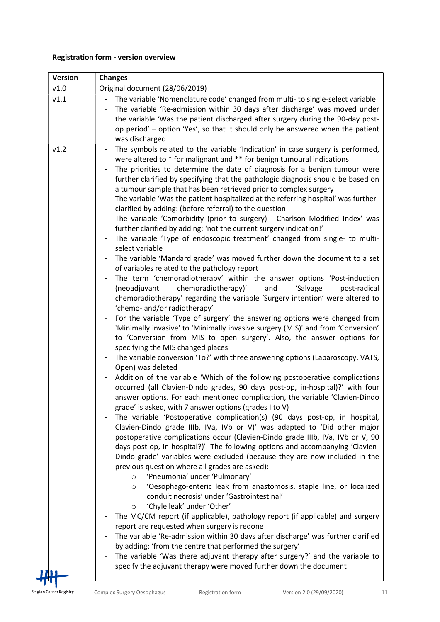# Registration form - version overview

| <b>Version</b> | <b>Changes</b>                                                                                                                                                                                                                                                                                                                                                                                                                                                                                                                                                                                                                                                                                                                                                                                                                                                                                                                                                                                                                                                                                                                                                                                                                                                                                                                                                                                                                                                                                                                                                                                                                                                                                                                                                                                                                                                                                                                                                                                                                                                                                                                                                                                                                                                                                                                                                                                                                                                                                                                                                                                                                                                                                                                                     |
|----------------|----------------------------------------------------------------------------------------------------------------------------------------------------------------------------------------------------------------------------------------------------------------------------------------------------------------------------------------------------------------------------------------------------------------------------------------------------------------------------------------------------------------------------------------------------------------------------------------------------------------------------------------------------------------------------------------------------------------------------------------------------------------------------------------------------------------------------------------------------------------------------------------------------------------------------------------------------------------------------------------------------------------------------------------------------------------------------------------------------------------------------------------------------------------------------------------------------------------------------------------------------------------------------------------------------------------------------------------------------------------------------------------------------------------------------------------------------------------------------------------------------------------------------------------------------------------------------------------------------------------------------------------------------------------------------------------------------------------------------------------------------------------------------------------------------------------------------------------------------------------------------------------------------------------------------------------------------------------------------------------------------------------------------------------------------------------------------------------------------------------------------------------------------------------------------------------------------------------------------------------------------------------------------------------------------------------------------------------------------------------------------------------------------------------------------------------------------------------------------------------------------------------------------------------------------------------------------------------------------------------------------------------------------------------------------------------------------------------------------------------------------|
| v1.0           | Original document (28/06/2019)                                                                                                                                                                                                                                                                                                                                                                                                                                                                                                                                                                                                                                                                                                                                                                                                                                                                                                                                                                                                                                                                                                                                                                                                                                                                                                                                                                                                                                                                                                                                                                                                                                                                                                                                                                                                                                                                                                                                                                                                                                                                                                                                                                                                                                                                                                                                                                                                                                                                                                                                                                                                                                                                                                                     |
| v1.1           | The variable 'Nomenclature code' changed from multi- to single-select variable<br>The variable 'Re-admission within 30 days after discharge' was moved under<br>$\blacksquare$<br>the variable 'Was the patient discharged after surgery during the 90-day post-<br>op period' – option 'Yes', so that it should only be answered when the patient<br>was discharged                                                                                                                                                                                                                                                                                                                                                                                                                                                                                                                                                                                                                                                                                                                                                                                                                                                                                                                                                                                                                                                                                                                                                                                                                                                                                                                                                                                                                                                                                                                                                                                                                                                                                                                                                                                                                                                                                                                                                                                                                                                                                                                                                                                                                                                                                                                                                                               |
| v1.2           | The symbols related to the variable 'Indication' in case surgery is performed,<br>$\blacksquare$<br>were altered to * for malignant and ** for benign tumoural indications<br>The priorities to determine the date of diagnosis for a benign tumour were<br>further clarified by specifying that the pathologic diagnosis should be based on<br>a tumour sample that has been retrieved prior to complex surgery<br>The variable 'Was the patient hospitalized at the referring hospital' was further<br>clarified by adding: (before referral) to the question<br>The variable 'Comorbidity (prior to surgery) - Charlson Modified Index' was<br>further clarified by adding: 'not the current surgery indication!'<br>- The variable 'Type of endoscopic treatment' changed from single- to multi-<br>select variable<br>The variable 'Mandard grade' was moved further down the document to a set<br>of variables related to the pathology report<br>The term 'chemoradiotherapy' within the answer options 'Post-induction<br>(neoadjuvant<br>chemoradiotherapy)'<br>and<br>'Salvage<br>post-radical<br>chemoradiotherapy' regarding the variable 'Surgery intention' were altered to<br>'chemo- and/or radiotherapy'<br>For the variable 'Type of surgery' the answering options were changed from<br>'Minimally invasive' to 'Minimally invasive surgery (MIS)' and from 'Conversion'<br>to 'Conversion from MIS to open surgery'. Also, the answer options for<br>specifying the MIS changed places.<br>The variable conversion 'To?' with three answering options (Laparoscopy, VATS,<br>Open) was deleted<br>Addition of the variable 'Which of the following postoperative complications<br>occurred (all Clavien-Dindo grades, 90 days post-op, in-hospital)?' with four<br>answer options. For each mentioned complication, the variable 'Clavien-Dindo<br>grade' is asked, with 7 answer options (grades I to V)<br>The variable 'Postoperative complication(s) (90 days post-op, in hospital,<br>Clavien-Dindo grade IIIb, IVa, IVb or V)' was adapted to 'Did other major<br>postoperative complications occur (Clavien-Dindo grade IIIb, IVa, IVb or V, 90<br>days post-op, in-hospital?)'. The following options and accompanying 'Clavien-<br>Dindo grade' variables were excluded (because they are now included in the<br>previous question where all grades are asked):<br>'Pneumonia' under 'Pulmonary'<br>$\circ$<br>'Oesophago-enteric leak from anastomosis, staple line, or localized<br>$\circ$<br>conduit necrosis' under 'Gastrointestinal'<br>'Chyle leak' under 'Other'<br>$\circ$<br>The MC/CM report (if applicable), pathology report (if applicable) and surgery<br>report are requested when surgery is redone |
|                | The variable 'Re-admission within 30 days after discharge' was further clarified<br>by adding: 'from the centre that performed the surgery'<br>The variable 'Was there adjuvant therapy after surgery?' and the variable to                                                                                                                                                                                                                                                                                                                                                                                                                                                                                                                                                                                                                                                                                                                                                                                                                                                                                                                                                                                                                                                                                                                                                                                                                                                                                                                                                                                                                                                                                                                                                                                                                                                                                                                                                                                                                                                                                                                                                                                                                                                                                                                                                                                                                                                                                                                                                                                                                                                                                                                        |
|                | specify the adjuvant therapy were moved further down the document                                                                                                                                                                                                                                                                                                                                                                                                                                                                                                                                                                                                                                                                                                                                                                                                                                                                                                                                                                                                                                                                                                                                                                                                                                                                                                                                                                                                                                                                                                                                                                                                                                                                                                                                                                                                                                                                                                                                                                                                                                                                                                                                                                                                                                                                                                                                                                                                                                                                                                                                                                                                                                                                                  |